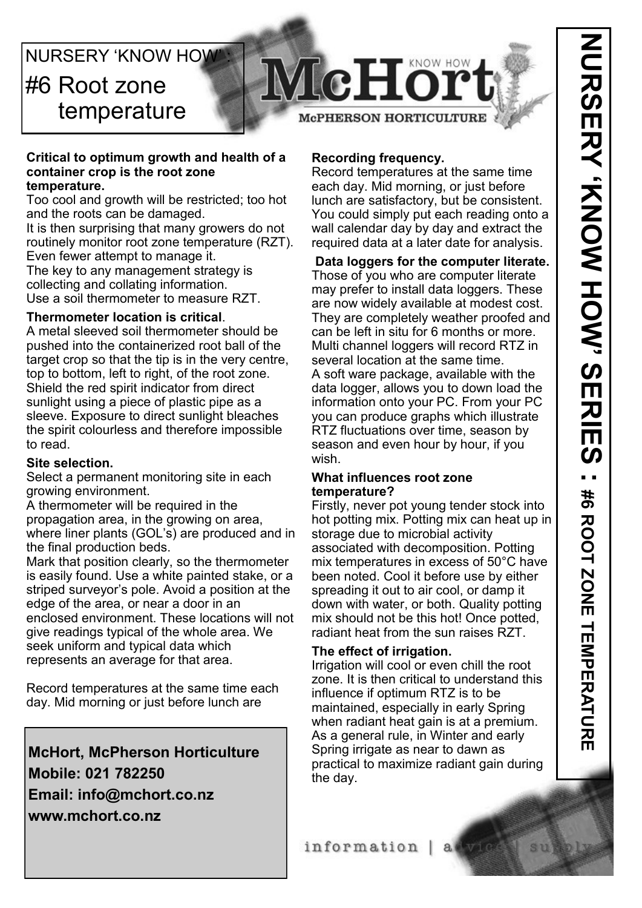# **NURSERY 'KNOW HOW** #6 Root zone temperature



### **Critical to optimum growth and health of a container crop is the root zone temperature.**

Too cool and growth will be restricted; too hot and the roots can be damaged.

It is then surprising that many growers do not routinely monitor root zone temperature (RZT). Even fewer attempt to manage it. The key to any management strategy is

collecting and collating information.

Use a soil thermometer to measure RZT.

# **Thermometer location is critical**.

A metal sleeved soil thermometer should be pushed into the containerized root ball of the target crop so that the tip is in the very centre, top to bottom, left to right, of the root zone. Shield the red spirit indicator from direct sunlight using a piece of plastic pipe as a sleeve. Exposure to direct sunlight bleaches the spirit colourless and therefore impossible to read.

# **Site selection.**

Select a permanent monitoring site in each growing environment.

A thermometer will be required in the propagation area, in the growing on area, where liner plants (GOL's) are produced and in the final production beds.

Mark that position clearly, so the thermometer is easily found. Use a white painted stake, or a striped surveyor's pole. Avoid a position at the edge of the area, or near a door in an enclosed environment. These locations will not give readings typical of the whole area. We seek uniform and typical data which represents an average for that area.

Record temperatures at the same time each day. Mid morning or just before lunch are

**McHort, McPherson Horticulture Mobile: 021 782250 Email: info@mchort.co.nz www.mchort.co.nz**

# **Recording frequency.**

Record temperatures at the same time each day. Mid morning, or just before lunch are satisfactory, but be consistent. You could simply put each reading onto a wall calendar day by day and extract the required data at a later date for analysis.

**Data loggers for the computer literate.** Those of you who are computer literate may prefer to install data loggers. These

are now widely available at modest cost. They are completely weather proofed and can be left in situ for 6 months or more. Multi channel loggers will record RTZ in several location at the same time. A soft ware package, available with the data logger, allows you to down load the information onto your PC. From your PC you can produce graphs which illustrate RTZ fluctuations over time, season by season and even hour by hour, if you wish.

## **What influences root zone temperature?**

Firstly, never pot young tender stock into hot potting mix. Potting mix can heat up in storage due to microbial activity associated with decomposition. Potting mix temperatures in excess of 50°C have been noted. Cool it before use by either spreading it out to air cool, or damp it down with water, or both. Quality potting mix should not be this hot! Once potted, radiant heat from the sun raises RZT.

# **The effect of irrigation.**

Irrigation will cool or even chill the root zone. It is then critical to understand this influence if optimum RTZ is to be maintained, especially in early Spring when radiant heat gain is at a premium. As a general rule, in Winter and early Spring irrigate as near to dawn as practical to maximize radiant gain during the day.

information | a